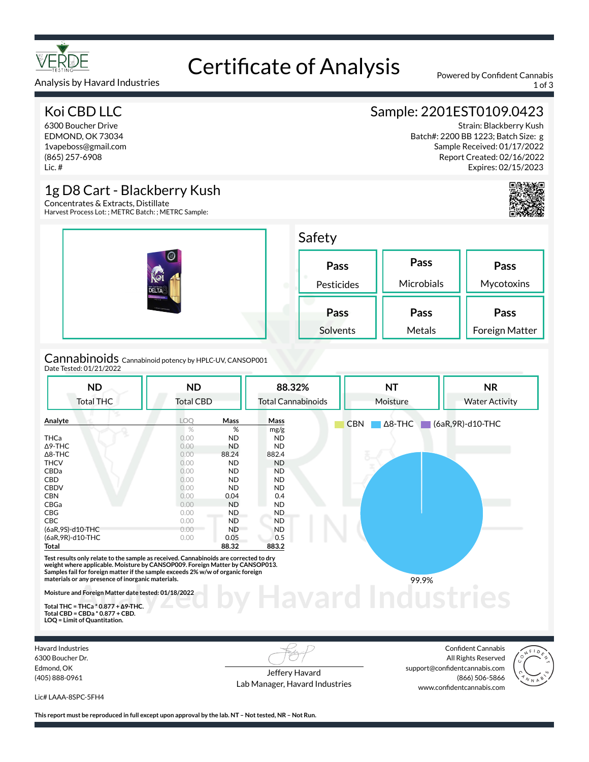

# Certificate of Analysis<br>
Powered by Confident Cannabis

## Koi CBD LLC

Analysis by Havard Industries

6300 Boucher Drive EDMOND, OK 73034 1vapeboss@gmail.com (865) 257-6908 Lic. #

## Sample: 2201EST0109.0423

Strain: Blackberry Kush Batch#: 2200 BB 1223; Batch Size: g Sample Received: 01/17/2022 Report Created: 02/16/2022 Expires: 02/15/2023



## 1g D8 Cart - Blackberry Kush

Concentrates & Extracts, Distillate Harvest Process Lot: ; METRC Batch: ; METRC Sample:

| $\textcircled{\scriptsize{A}}$<br>Koi<br><b>DELTA</b><br>LACKBERRY MASSA<br><b>STAN CARTRIDGE</b> | Safety             |                    |                        |  |  |
|---------------------------------------------------------------------------------------------------|--------------------|--------------------|------------------------|--|--|
|                                                                                                   | Pass<br>Pesticides | Pass<br>Microbials | Pass<br>Mycotoxins     |  |  |
|                                                                                                   | Pass<br>Solvents   | Pass<br>Metals     | Pass<br>Foreign Matter |  |  |
| Cannabinoids cannabinoid potency by HPLC-UV, CANSOP001                                            |                    |                    |                        |  |  |

## Cannabinoids<br><sub>Date Tested: 01/21/2022</sub>

| <b>ND</b>                                                                                                                                                                                                                                                                                                     | <b>ND</b>        |           | 88.32%                    | <b>NT</b>                    | <b>NR</b>             |
|---------------------------------------------------------------------------------------------------------------------------------------------------------------------------------------------------------------------------------------------------------------------------------------------------------------|------------------|-----------|---------------------------|------------------------------|-----------------------|
| <b>Total THC</b>                                                                                                                                                                                                                                                                                              | <b>Total CBD</b> |           | <b>Total Cannabinoids</b> | Moisture                     | <b>Water Activity</b> |
| Analyte                                                                                                                                                                                                                                                                                                       | LOQ              | Mass      | Mass                      | $\Delta$ 8-THC<br><b>CBN</b> | (6aR, 9R)-d10-THC     |
|                                                                                                                                                                                                                                                                                                               | $\%$             | %         | mg/g                      |                              |                       |
| <b>THCa</b>                                                                                                                                                                                                                                                                                                   | 0.00             | <b>ND</b> | <b>ND</b>                 |                              |                       |
| $\Delta$ 9-THC                                                                                                                                                                                                                                                                                                | 0.00             | <b>ND</b> | <b>ND</b>                 |                              |                       |
| $\Delta$ 8-THC                                                                                                                                                                                                                                                                                                | 0.00             | 88.24     | 882.4                     |                              |                       |
| <b>THCV</b>                                                                                                                                                                                                                                                                                                   | 0.00             | <b>ND</b> | <b>ND</b>                 |                              |                       |
| CBDa                                                                                                                                                                                                                                                                                                          | 0.00             | <b>ND</b> | <b>ND</b>                 |                              |                       |
| CBD                                                                                                                                                                                                                                                                                                           | 0.00             | <b>ND</b> | ND.                       |                              |                       |
| <b>CBDV</b>                                                                                                                                                                                                                                                                                                   | 0.00             | <b>ND</b> | <b>ND</b>                 |                              |                       |
| <b>CBN</b>                                                                                                                                                                                                                                                                                                    | 0.00             | 0.04      | 0.4                       |                              |                       |
| CBGa                                                                                                                                                                                                                                                                                                          | 0.00             | <b>ND</b> | <b>ND</b>                 |                              |                       |
| CBG                                                                                                                                                                                                                                                                                                           | 0.00             | <b>ND</b> | ND.                       |                              |                       |
| <b>CBC</b>                                                                                                                                                                                                                                                                                                    | 0.00             | <b>ND</b> | <b>ND</b>                 |                              |                       |
| (6aR, 9S)-d10-THC                                                                                                                                                                                                                                                                                             | 0.00             | <b>ND</b> | <b>ND</b>                 |                              |                       |
| (6aR, 9R)-d10-THC                                                                                                                                                                                                                                                                                             | 0.00             | 0.05      | 0.5                       |                              |                       |
| Total                                                                                                                                                                                                                                                                                                         |                  | 88.32     | 883.2                     |                              |                       |
| Test results only relate to the sample as received. Cannabinoids are corrected to dry<br>weight where applicable. Moisture by CANSOP009. Foreign Matter by CANSOP013.<br>Samples fail for foreign matter if the sample exceeds 2% w/w of organic foreign<br>materials or any presence of inorganic materials. |                  |           |                           | 99.9%                        |                       |
| Moisture and Foreign Matter date tested: 01/18/2022                                                                                                                                                                                                                                                           |                  |           |                           |                              |                       |
| Total THC = THCa $*$ 0.877 + $\Delta$ 9-THC.                                                                                                                                                                                                                                                                  |                  |           |                           |                              |                       |
| Total CRD = CRDa $*$ 0.877 + CRD                                                                                                                                                                                                                                                                              |                  |           |                           |                              |                       |

**Total CBD = CBDa \* 0.877 + CBD. LOQ = Limit of Quantitation.**

Havard Industries 6300 Boucher Dr. Edmond, OK (405) 888-0961

Jeffery Havard Lab Manager, Havard Industries

Confident Cannabis All Rights Reserved support@confidentcannabis.com (866) 506-5866 www.confidentcannabis.com



Lic# LAAA-8SPC-5FH4

**This report must be reproduced in full except upon approval by the lab. NT – Not tested, NR – Not Run.**